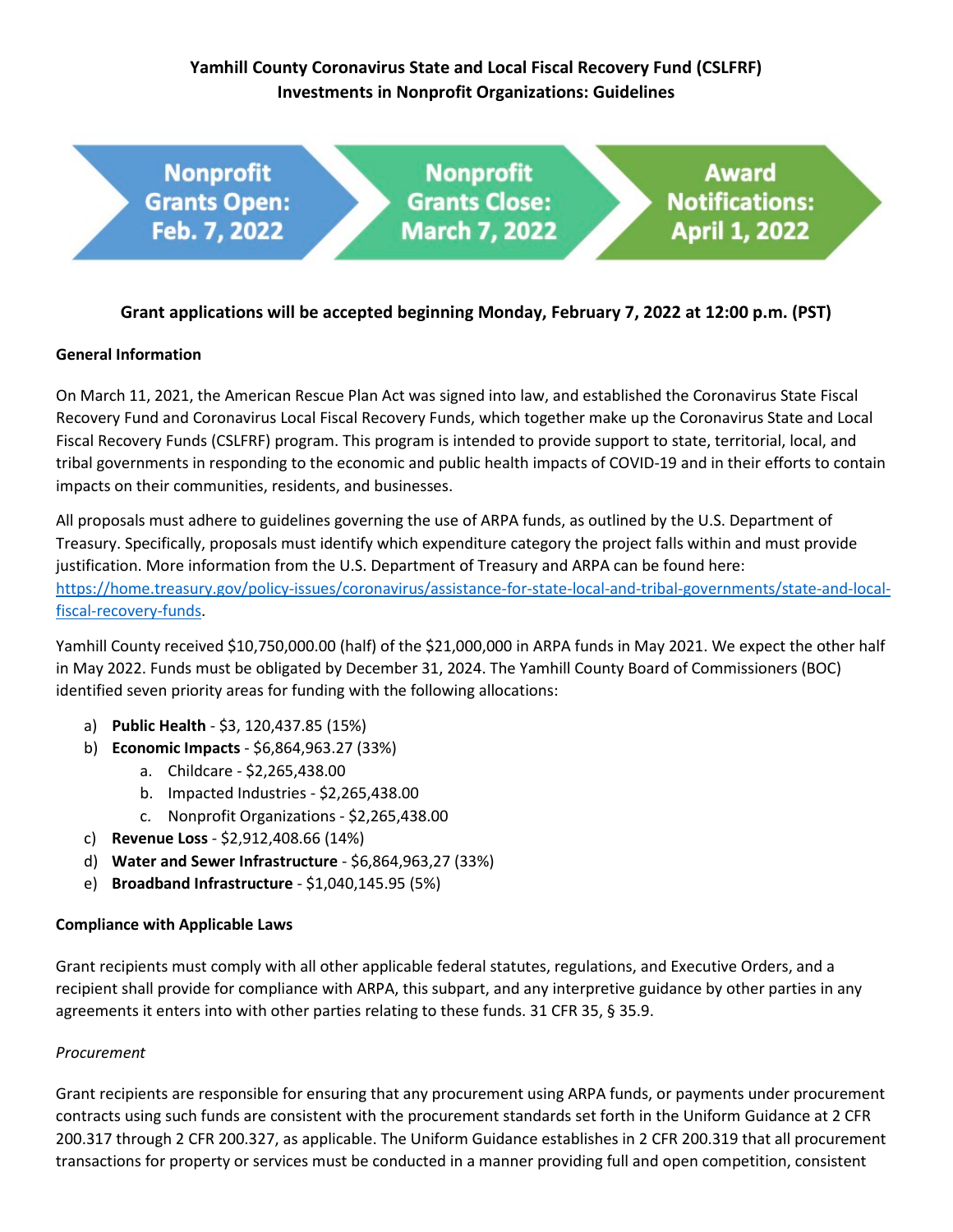# **Yamhill County Coronavirus State and Local Fiscal Recovery Fund (CSLFRF) Investments in Nonprofit Organizations: Guidelines**



# **Grant applications will be accepted beginning Monday, February 7, 2022 at 12:00 p.m. (PST)**

## **General Information**

On March 11, 2021, the American Rescue Plan Act was signed into law, and established the Coronavirus State Fiscal Recovery Fund and Coronavirus Local Fiscal Recovery Funds, which together make up the Coronavirus State and Local Fiscal Recovery Funds (CSLFRF) program. This program is intended to provide support to state, territorial, local, and tribal governments in responding to the economic and public health impacts of COVID-19 and in their efforts to contain impacts on their communities, residents, and businesses.

All proposals must adhere to guidelines governing the use of ARPA funds, as outlined by the U.S. Department of Treasury. Specifically, proposals must identify which expenditure category the project falls within and must provide justification. More information from the U.S. Department of Treasury and ARPA can be found here: [https://home.treasury.gov/policy-issues/coronavirus/assistance-for-state-local-and-tribal-governments/state-and-local](https://home.treasury.gov/policy-issues/coronavirus/assistance-for-state-local-and-tribal-governments/state-and-local-fiscal-recovery-funds)[fiscal-recovery-funds.](https://home.treasury.gov/policy-issues/coronavirus/assistance-for-state-local-and-tribal-governments/state-and-local-fiscal-recovery-funds)

Yamhill County received \$10,750,000.00 (half) of the \$21,000,000 in ARPA funds in May 2021. We expect the other half in May 2022. Funds must be obligated by December 31, 2024. The Yamhill County Board of Commissioners (BOC) identified seven priority areas for funding with the following allocations:

- a) **Public Health** \$3, 120,437.85 (15%)
- b) **Economic Impacts** \$6,864,963.27 (33%)
	- a. Childcare \$2,265,438.00
	- b. Impacted Industries \$2,265,438.00
	- c. Nonprofit Organizations \$2,265,438.00
- c) **Revenue Loss** \$2,912,408.66 (14%)
- d) **Water and Sewer Infrastructure** \$6,864,963,27 (33%)
- e) **Broadband Infrastructure** \$1,040,145.95 (5%)

# **Compliance with Applicable Laws**

Grant recipients must comply with all other applicable federal statutes, regulations, and Executive Orders, and a recipient shall provide for compliance with ARPA, this subpart, and any interpretive guidance by other parties in any agreements it enters into with other parties relating to these funds. 31 CFR 35, § 35.9.

#### *Procurement*

Grant recipients are responsible for ensuring that any procurement using ARPA funds, or payments under procurement contracts using such funds are consistent with the procurement standards set forth in the Uniform Guidance at 2 CFR 200.317 through 2 CFR 200.327, as applicable. The Uniform Guidance establishes in 2 CFR 200.319 that all procurement transactions for property or services must be conducted in a manner providing full and open competition, consistent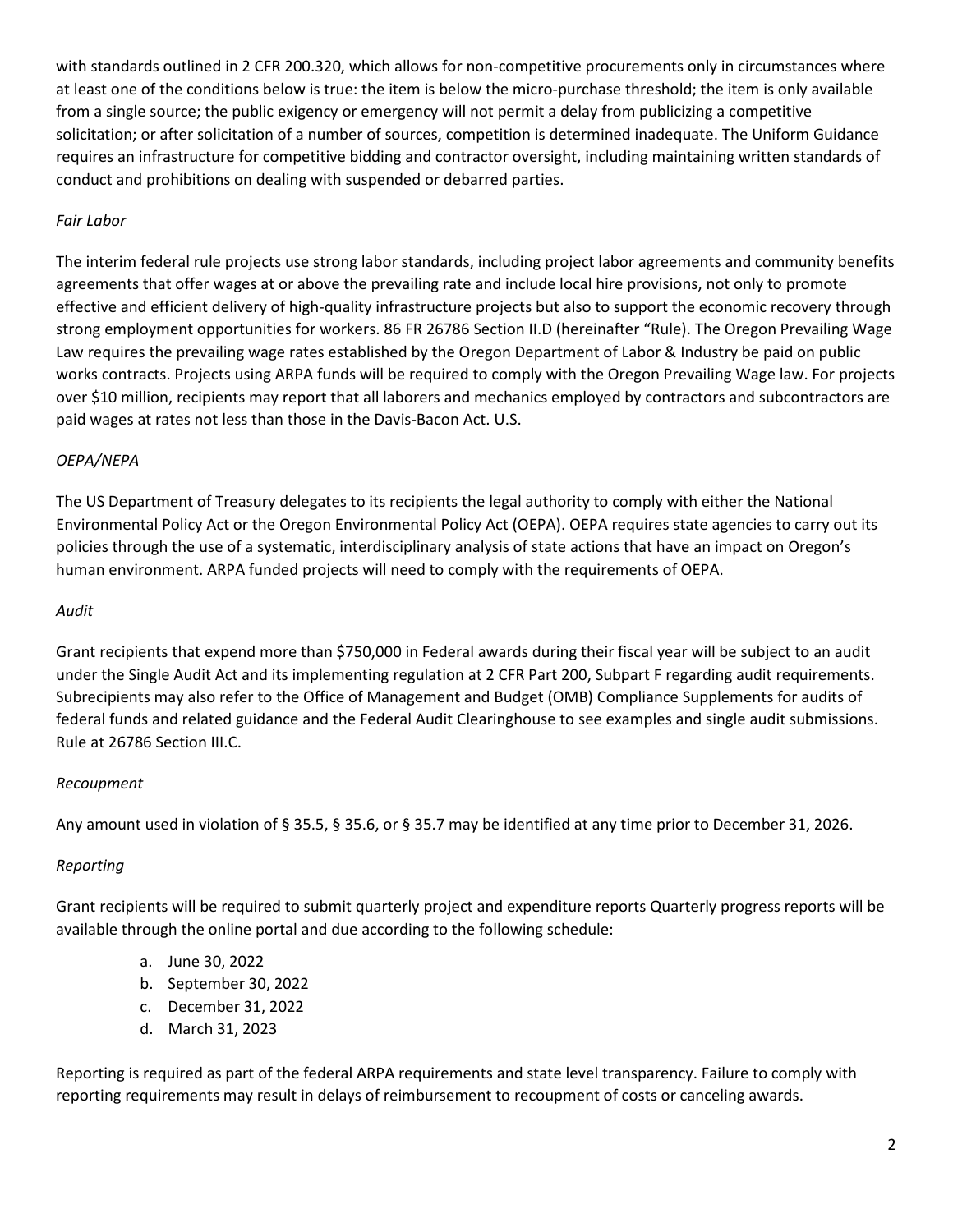with standards outlined in 2 CFR 200.320, which allows for non-competitive procurements only in circumstances where at least one of the conditions below is true: the item is below the micro-purchase threshold; the item is only available from a single source; the public exigency or emergency will not permit a delay from publicizing a competitive solicitation; or after solicitation of a number of sources, competition is determined inadequate. The Uniform Guidance requires an infrastructure for competitive bidding and contractor oversight, including maintaining written standards of conduct and prohibitions on dealing with suspended or debarred parties.

# *Fair Labor*

The interim federal rule projects use strong labor standards, including project labor agreements and community benefits agreements that offer wages at or above the prevailing rate and include local hire provisions, not only to promote effective and efficient delivery of high-quality infrastructure projects but also to support the economic recovery through strong employment opportunities for workers. 86 FR 26786 Section II.D (hereinafter "Rule). The Oregon Prevailing Wage Law requires the prevailing wage rates established by the Oregon Department of Labor & Industry be paid on public works contracts. Projects using ARPA funds will be required to comply with the Oregon Prevailing Wage law. For projects over \$10 million, recipients may report that all laborers and mechanics employed by contractors and subcontractors are paid wages at rates not less than those in the Davis-Bacon Act. U.S.

# *OEPA/NEPA*

The US Department of Treasury delegates to its recipients the legal authority to comply with either the National Environmental Policy Act or the Oregon Environmental Policy Act (OEPA). OEPA requires state agencies to carry out its policies through the use of a systematic, interdisciplinary analysis of state actions that have an impact on Oregon's human environment. ARPA funded projects will need to comply with the requirements of OEPA.

## *Audit*

Grant recipients that expend more than \$750,000 in Federal awards during their fiscal year will be subject to an audit under the Single Audit Act and its implementing regulation at 2 CFR Part 200, Subpart F regarding audit requirements. Subrecipients may also refer to the Office of Management and Budget (OMB) Compliance Supplements for audits of federal funds and related guidance and the Federal Audit Clearinghouse to see examples and single audit submissions. Rule at 26786 Section III.C.

# *Recoupment*

Any amount used in violation of § 35.5, § 35.6, or § 35.7 may be identified at any time prior to December 31, 2026.

# *Reporting*

Grant recipients will be required to submit quarterly project and expenditure reports Quarterly progress reports will be available through the online portal and due according to the following schedule:

- a. June 30, 2022
- b. September 30, 2022
- c. December 31, 2022
- d. March 31, 2023

Reporting is required as part of the federal ARPA requirements and state level transparency. Failure to comply with reporting requirements may result in delays of reimbursement to recoupment of costs or canceling awards.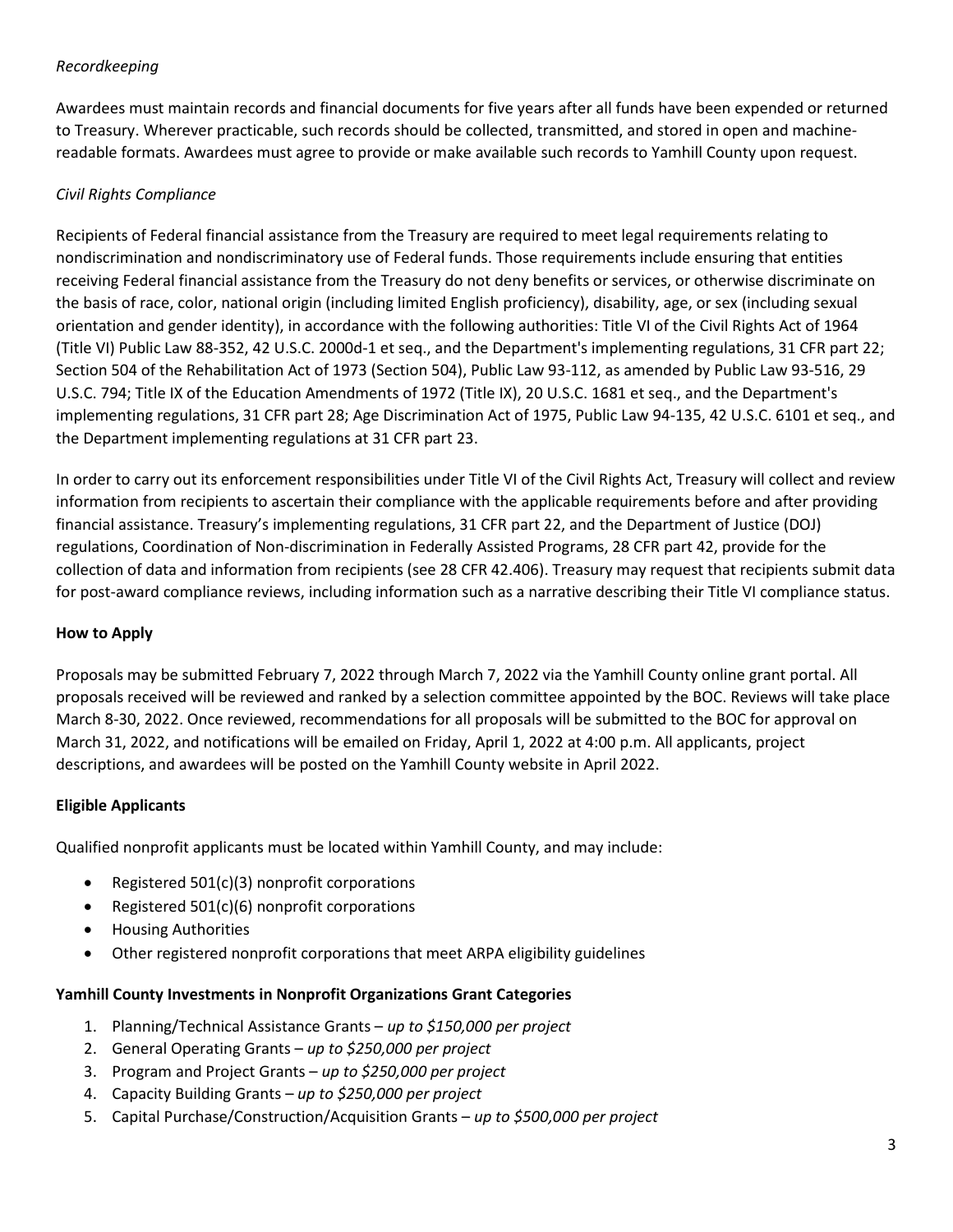# *Recordkeeping*

Awardees must maintain records and financial documents for five years after all funds have been expended or returned to Treasury. Wherever practicable, such records should be collected, transmitted, and stored in open and machinereadable formats. Awardees must agree to provide or make available such records to Yamhill County upon request.

# *Civil Rights Compliance*

Recipients of Federal financial assistance from the Treasury are required to meet legal requirements relating to nondiscrimination and nondiscriminatory use of Federal funds. Those requirements include ensuring that entities receiving Federal financial assistance from the Treasury do not deny benefits or services, or otherwise discriminate on the basis of race, color, national origin (including limited English proficiency), disability, age, or sex (including sexual orientation and gender identity), in accordance with the following authorities: Title VI of the Civil Rights Act of 1964 (Title VI) Public Law 88-352, 42 U.S.C. 2000d-1 et seq., and the Department's implementing regulations, 31 CFR part 22; Section 504 of the Rehabilitation Act of 1973 (Section 504), Public Law 93-112, as amended by Public Law 93-516, 29 U.S.C. 794; Title IX of the Education Amendments of 1972 (Title IX), 20 U.S.C. 1681 et seq., and the Department's implementing regulations, 31 CFR part 28; Age Discrimination Act of 1975, Public Law 94-135, 42 U.S.C. 6101 et seq., and the Department implementing regulations at 31 CFR part 23.

In order to carry out its enforcement responsibilities under Title VI of the Civil Rights Act, Treasury will collect and review information from recipients to ascertain their compliance with the applicable requirements before and after providing financial assistance. Treasury's implementing regulations, 31 CFR part 22, and the Department of Justice (DOJ) regulations, Coordination of Non-discrimination in Federally Assisted Programs, 28 CFR part 42, provide for the collection of data and information from recipients (see 28 CFR 42.406). Treasury may request that recipients submit data for post-award compliance reviews, including information such as a narrative describing their Title VI compliance status.

# **How to Apply**

Proposals may be submitted February 7, 2022 through March 7, 2022 via the Yamhill County online grant portal. All proposals received will be reviewed and ranked by a selection committee appointed by the BOC. Reviews will take place March 8-30, 2022. Once reviewed, recommendations for all proposals will be submitted to the BOC for approval on March 31, 2022, and notifications will be emailed on Friday, April 1, 2022 at 4:00 p.m. All applicants, project descriptions, and awardees will be posted on the Yamhill County website in April 2022.

# **Eligible Applicants**

Qualified nonprofit applicants must be located within Yamhill County, and may include:

- Registered 501(c)(3) nonprofit corporations
- Registered 501(c)(6) nonprofit corporations
- Housing Authorities
- Other registered nonprofit corporations that meet ARPA eligibility guidelines

#### **Yamhill County Investments in Nonprofit Organizations Grant Categories**

- 1. Planning/Technical Assistance Grants *up to \$150,000 per project*
- 2. General Operating Grants *up to \$250,000 per project*
- 3. Program and Project Grants *up to \$250,000 per project*
- 4. Capacity Building Grants *up to \$250,000 per project*
- 5. Capital Purchase/Construction/Acquisition Grants *up to \$500,000 per project*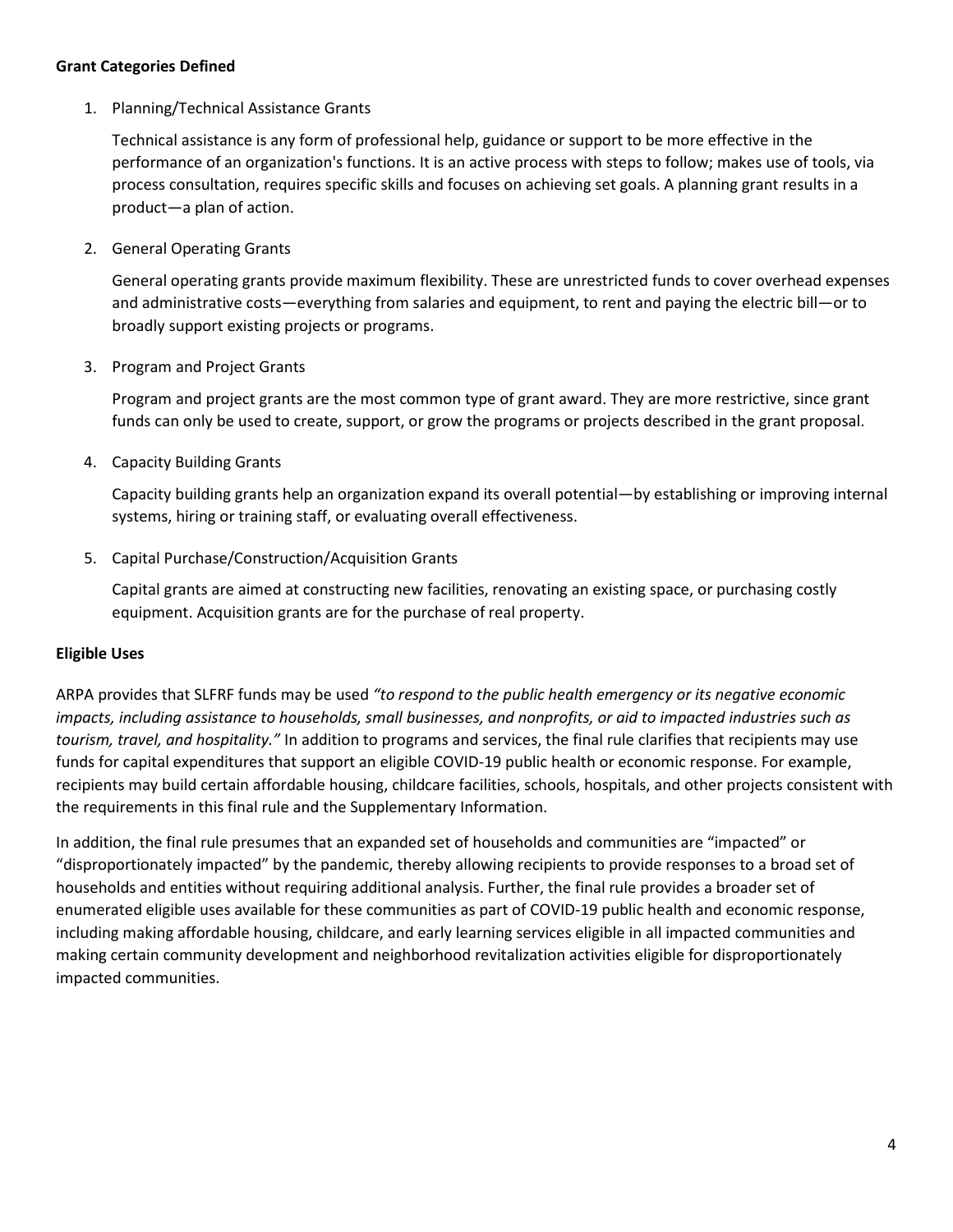### **Grant Categories Defined**

1. Planning/Technical Assistance Grants

Technical assistance is any form of professional help, guidance or support to be more effective in the performance of an organization's functions. It is an active process with steps to follow; makes use of tools, via process consultation, requires specific skills and focuses on achieving set goals. A planning grant results in a product—a plan of action.

2. General Operating Grants

General operating grants provide maximum flexibility. These are unrestricted funds to cover overhead expenses and administrative costs—everything from salaries and equipment, to rent and paying the electric bill—or to broadly support existing projects or programs.

3. Program and Project Grants

Program and project grants are the most common type of grant award. They are more restrictive, since grant funds can only be used to create, support, or grow the programs or projects described in the grant proposal.

4. Capacity Building Grants

Capacity building grants help an organization expand its overall potential—by establishing or improving internal systems, hiring or training staff, or evaluating overall effectiveness.

5. Capital Purchase/Construction/Acquisition Grants

Capital grants are aimed at constructing new facilities, renovating an existing space, or purchasing costly equipment. Acquisition grants are for the purchase of real property.

# **Eligible Uses**

ARPA provides that SLFRF funds may be used *"to respond to the public health emergency or its negative economic impacts, including assistance to households, small businesses, and nonprofits, or aid to impacted industries such as tourism, travel, and hospitality."* In addition to programs and services, the final rule clarifies that recipients may use funds for capital expenditures that support an eligible COVID-19 public health or economic response. For example, recipients may build certain affordable housing, childcare facilities, schools, hospitals, and other projects consistent with the requirements in this final rule and the Supplementary Information.

In addition, the final rule presumes that an expanded set of households and communities are "impacted" or "disproportionately impacted" by the pandemic, thereby allowing recipients to provide responses to a broad set of households and entities without requiring additional analysis. Further, the final rule provides a broader set of enumerated eligible uses available for these communities as part of COVID-19 public health and economic response, including making affordable housing, childcare, and early learning services eligible in all impacted communities and making certain community development and neighborhood revitalization activities eligible for disproportionately impacted communities.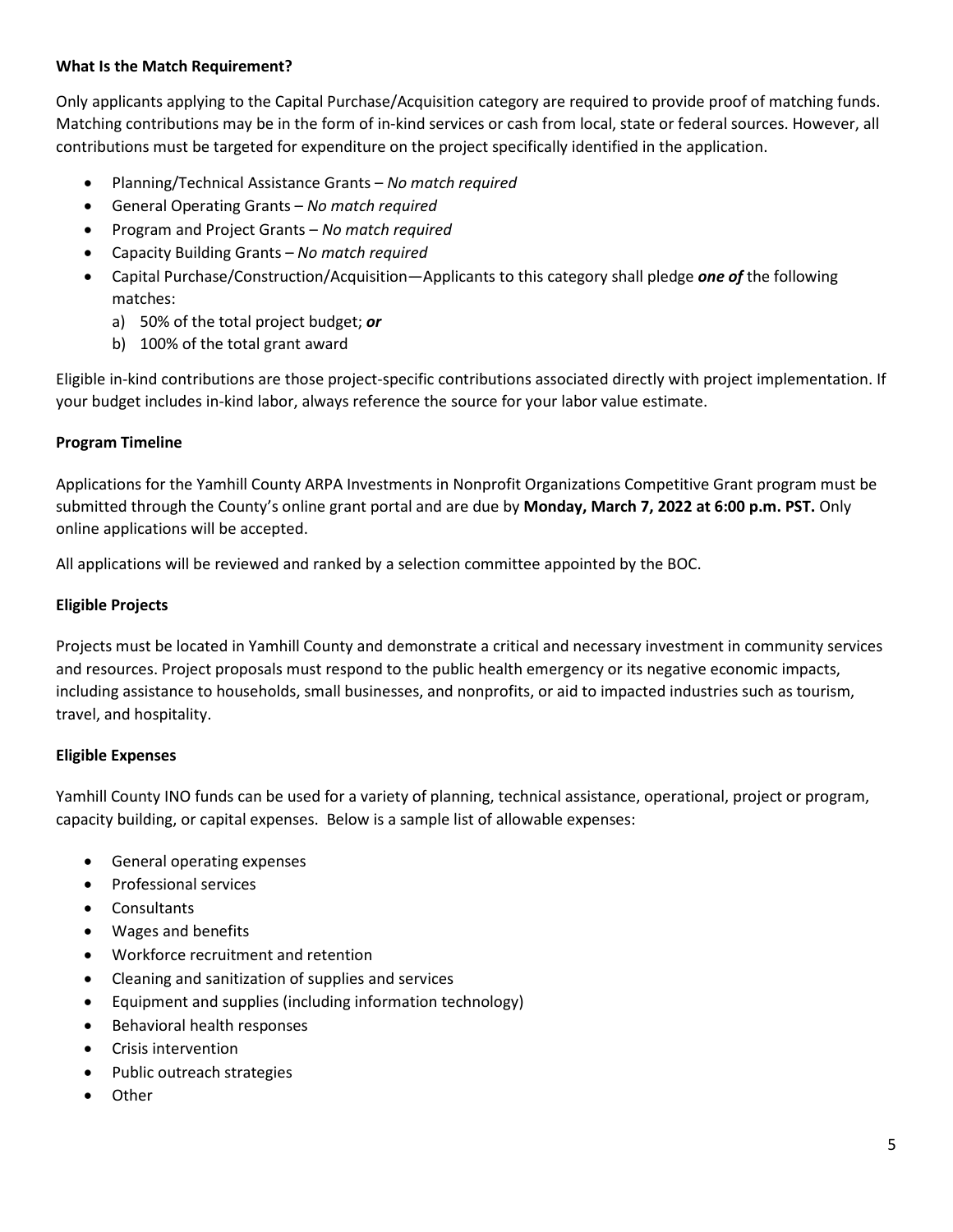### **What Is the Match Requirement?**

Only applicants applying to the Capital Purchase/Acquisition category are required to provide proof of matching funds. Matching contributions may be in the form of in-kind services or cash from local, state or federal sources. However, all contributions must be targeted for expenditure on the project specifically identified in the application.

- Planning/Technical Assistance Grants *No match required*
- General Operating Grants *No match required*
- Program and Project Grants *No match required*
- Capacity Building Grants *No match required*
- Capital Purchase/Construction/Acquisition—Applicants to this category shall pledge *one of* the following matches:
	- a) 50% of the total project budget; *or*
	- b) 100% of the total grant award

Eligible in-kind contributions are those project-specific contributions associated directly with project implementation. If your budget includes in-kind labor, always reference the source for your labor value estimate.

## **Program Timeline**

Applications for the Yamhill County ARPA Investments in Nonprofit Organizations Competitive Grant program must be submitted through the County's online grant portal and are due by **Monday, March 7, 2022 at 6:00 p.m. PST.** Only online applications will be accepted.

All applications will be reviewed and ranked by a selection committee appointed by the BOC.

## **Eligible Projects**

Projects must be located in Yamhill County and demonstrate a critical and necessary investment in community services and resources. Project proposals must respond to the public health emergency or its negative economic impacts, including assistance to households, small businesses, and nonprofits, or aid to impacted industries such as tourism, travel, and hospitality.

#### **Eligible Expenses**

Yamhill County INO funds can be used for a variety of planning, technical assistance, operational, project or program, capacity building, or capital expenses. Below is a sample list of allowable expenses:

- General operating expenses
- Professional services
- Consultants
- Wages and benefits
- Workforce recruitment and retention
- Cleaning and sanitization of supplies and services
- Equipment and supplies (including information technology)
- Behavioral health responses
- Crisis intervention
- Public outreach strategies
- **Other**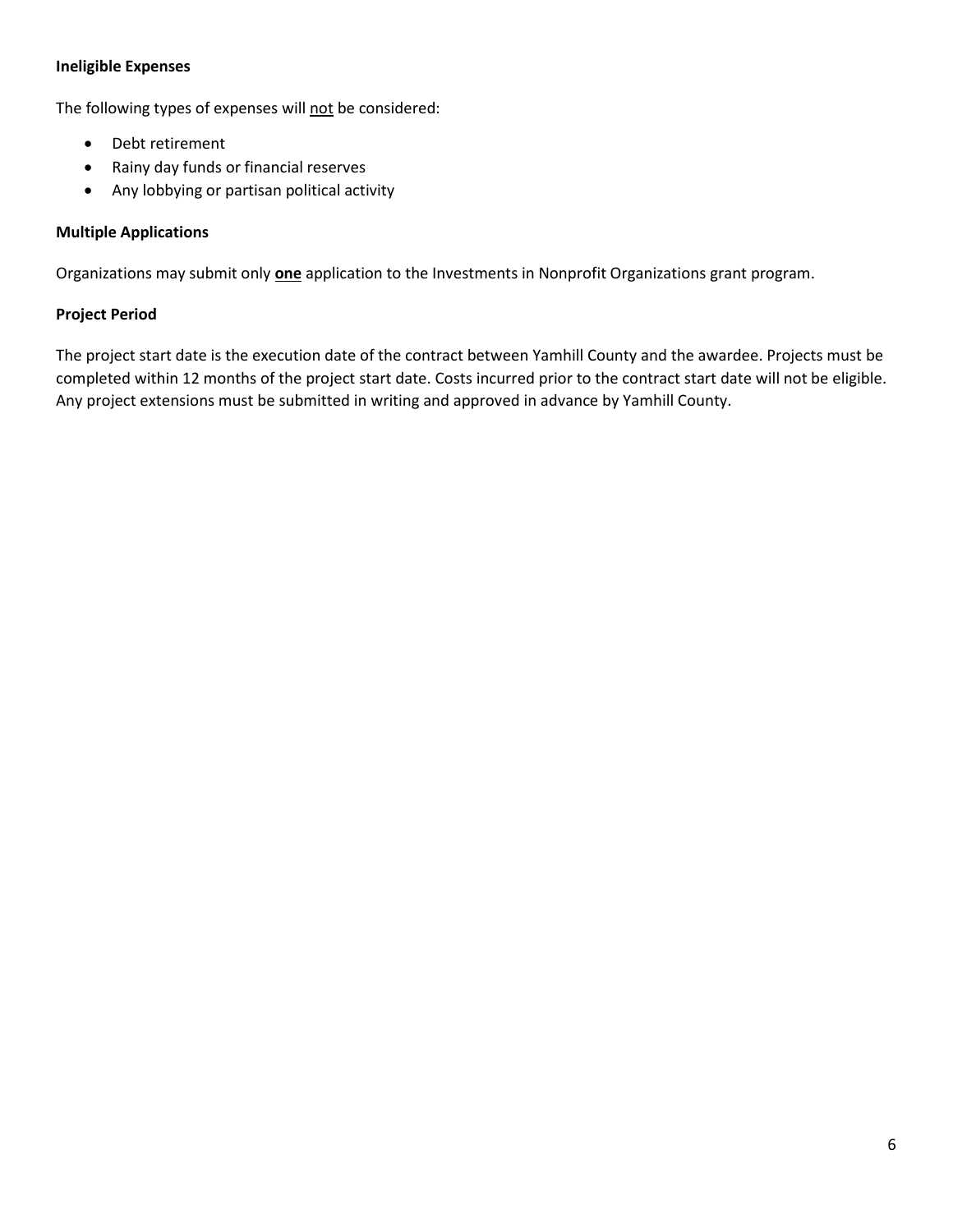## **Ineligible Expenses**

The following types of expenses will not be considered:

- Debt retirement
- Rainy day funds or financial reserves
- Any lobbying or partisan political activity

## **Multiple Applications**

Organizations may submit only **one** application to the Investments in Nonprofit Organizations grant program.

## **Project Period**

The project start date is the execution date of the contract between Yamhill County and the awardee. Projects must be completed within 12 months of the project start date. Costs incurred prior to the contract start date will not be eligible. Any project extensions must be submitted in writing and approved in advance by Yamhill County.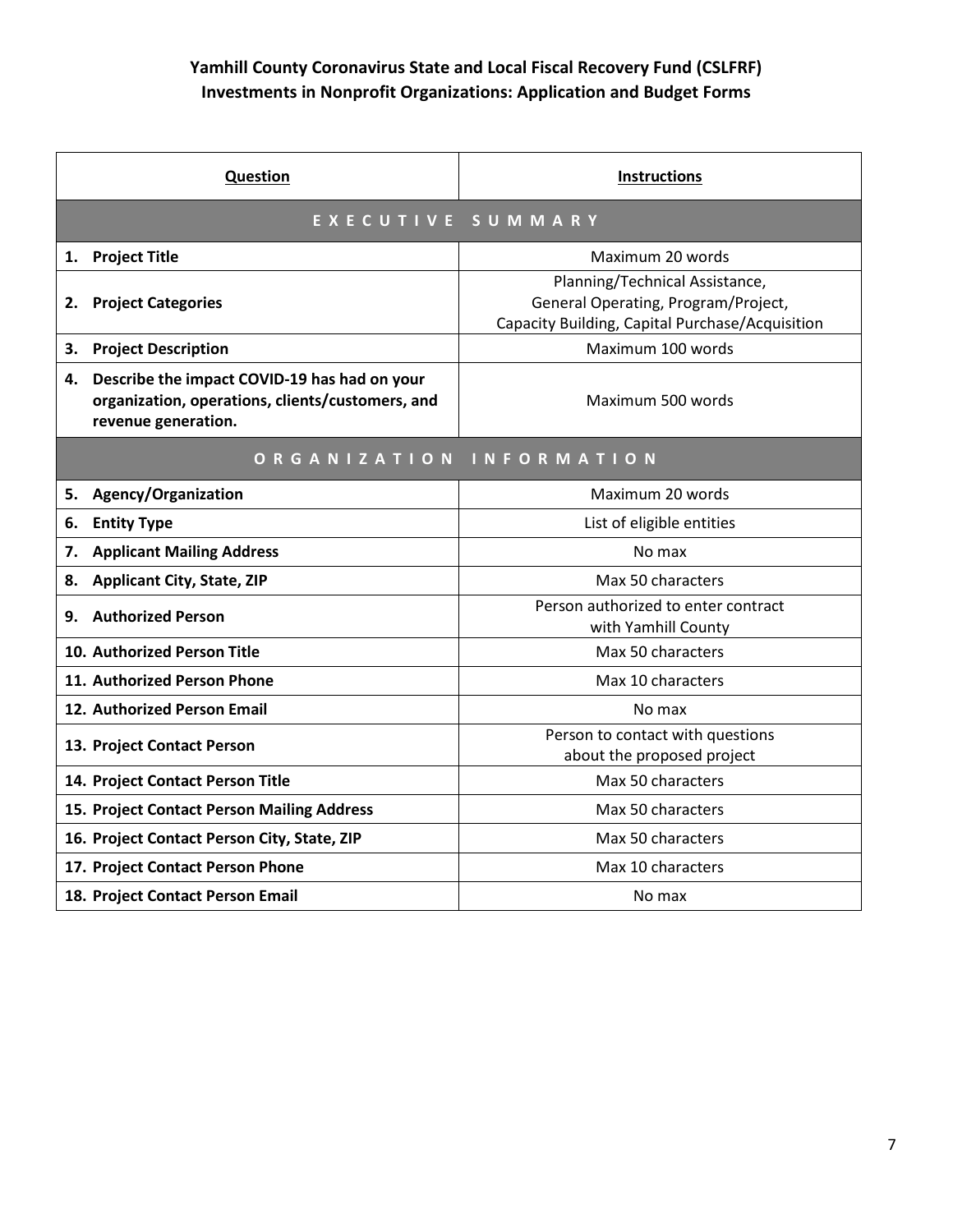# **Yamhill County Coronavirus State and Local Fiscal Recovery Fund (CSLFRF) Investments in Nonprofit Organizations: Application and Budget Forms**

| <b>Question</b>                                                                                                               | <b>Instructions</b>                                                                                                      |  |
|-------------------------------------------------------------------------------------------------------------------------------|--------------------------------------------------------------------------------------------------------------------------|--|
| EXECUTIVE SUMMARY                                                                                                             |                                                                                                                          |  |
| <b>Project Title</b><br>1.                                                                                                    | Maximum 20 words                                                                                                         |  |
| <b>Project Categories</b><br>2.                                                                                               | Planning/Technical Assistance,<br>General Operating, Program/Project,<br>Capacity Building, Capital Purchase/Acquisition |  |
| 3.<br><b>Project Description</b>                                                                                              | Maximum 100 words                                                                                                        |  |
| Describe the impact COVID-19 has had on your<br>4.<br>organization, operations, clients/customers, and<br>revenue generation. | Maximum 500 words                                                                                                        |  |
| ORGANIZATION<br>INFORMATION                                                                                                   |                                                                                                                          |  |
| <b>Agency/Organization</b><br>5.                                                                                              | Maximum 20 words                                                                                                         |  |
| 6.<br><b>Entity Type</b>                                                                                                      | List of eligible entities                                                                                                |  |
| <b>Applicant Mailing Address</b><br>7.                                                                                        | No max                                                                                                                   |  |
| <b>Applicant City, State, ZIP</b><br>8.                                                                                       | Max 50 characters                                                                                                        |  |
| <b>Authorized Person</b><br>9.                                                                                                | Person authorized to enter contract<br>with Yamhill County                                                               |  |
| 10. Authorized Person Title                                                                                                   | Max 50 characters                                                                                                        |  |
| 11. Authorized Person Phone                                                                                                   | Max 10 characters                                                                                                        |  |
| 12. Authorized Person Email                                                                                                   | No max                                                                                                                   |  |
| 13. Project Contact Person                                                                                                    | Person to contact with questions<br>about the proposed project                                                           |  |
| 14. Project Contact Person Title                                                                                              | Max 50 characters                                                                                                        |  |
| 15. Project Contact Person Mailing Address                                                                                    | Max 50 characters                                                                                                        |  |
| 16. Project Contact Person City, State, ZIP                                                                                   | Max 50 characters                                                                                                        |  |
| 17. Project Contact Person Phone                                                                                              | Max 10 characters                                                                                                        |  |
| 18. Project Contact Person Email                                                                                              | No max                                                                                                                   |  |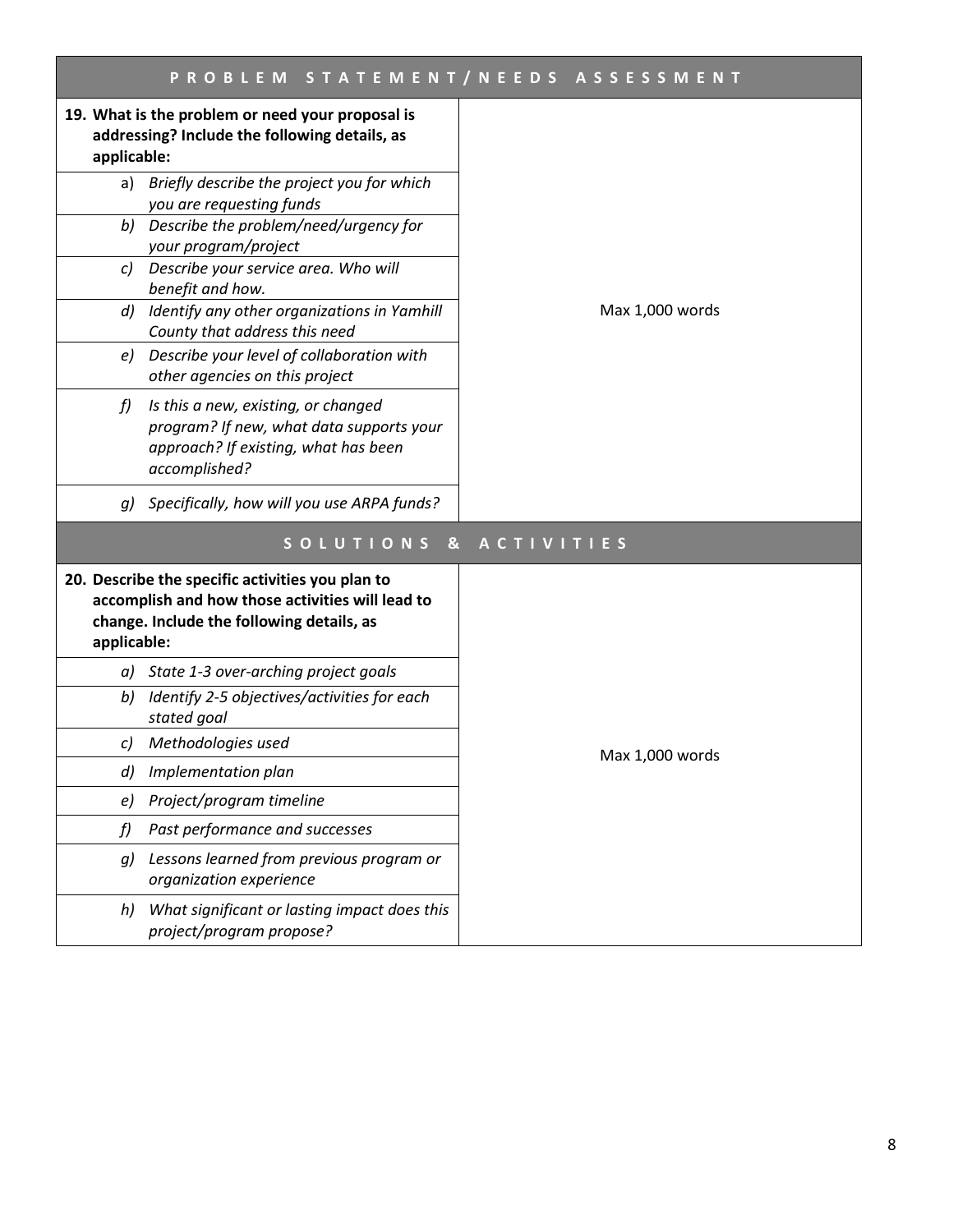| PROBLEM STATEMENT/NEEDS ASSESSMENT                                                                                                                               |                 |  |
|------------------------------------------------------------------------------------------------------------------------------------------------------------------|-----------------|--|
| 19. What is the problem or need your proposal is<br>addressing? Include the following details, as<br>applicable:                                                 |                 |  |
| a) Briefly describe the project you for which                                                                                                                    |                 |  |
| you are requesting funds<br>Describe the problem/need/urgency for<br>b)<br>your program/project                                                                  |                 |  |
| Describe your service area. Who will<br>c)<br>benefit and how.                                                                                                   |                 |  |
| Identify any other organizations in Yamhill<br>d)<br>County that address this need                                                                               | Max 1,000 words |  |
| e) Describe your level of collaboration with<br>other agencies on this project                                                                                   |                 |  |
| f)<br>Is this a new, existing, or changed<br>program? If new, what data supports your<br>approach? If existing, what has been<br>accomplished?                   |                 |  |
| Specifically, how will you use ARPA funds?<br>q)                                                                                                                 |                 |  |
| SOLUTIONS &<br><b>ACTIVITIES</b>                                                                                                                                 |                 |  |
| 20. Describe the specific activities you plan to<br>accomplish and how those activities will lead to<br>change. Include the following details, as<br>applicable: |                 |  |
| a) State 1-3 over-arching project goals                                                                                                                          |                 |  |
| Identify 2-5 objectives/activities for each<br>b)<br>stated goal                                                                                                 |                 |  |
| Methodologies used<br>c)                                                                                                                                         | Max 1,000 words |  |
| Implementation plan<br>$\left( d \right)$                                                                                                                        |                 |  |
| Project/program timeline<br>e)                                                                                                                                   |                 |  |
| Past performance and successes<br>f)                                                                                                                             |                 |  |
| Lessons learned from previous program or<br>g)<br>organization experience                                                                                        |                 |  |
| What significant or lasting impact does this<br>h)<br>project/program propose?                                                                                   |                 |  |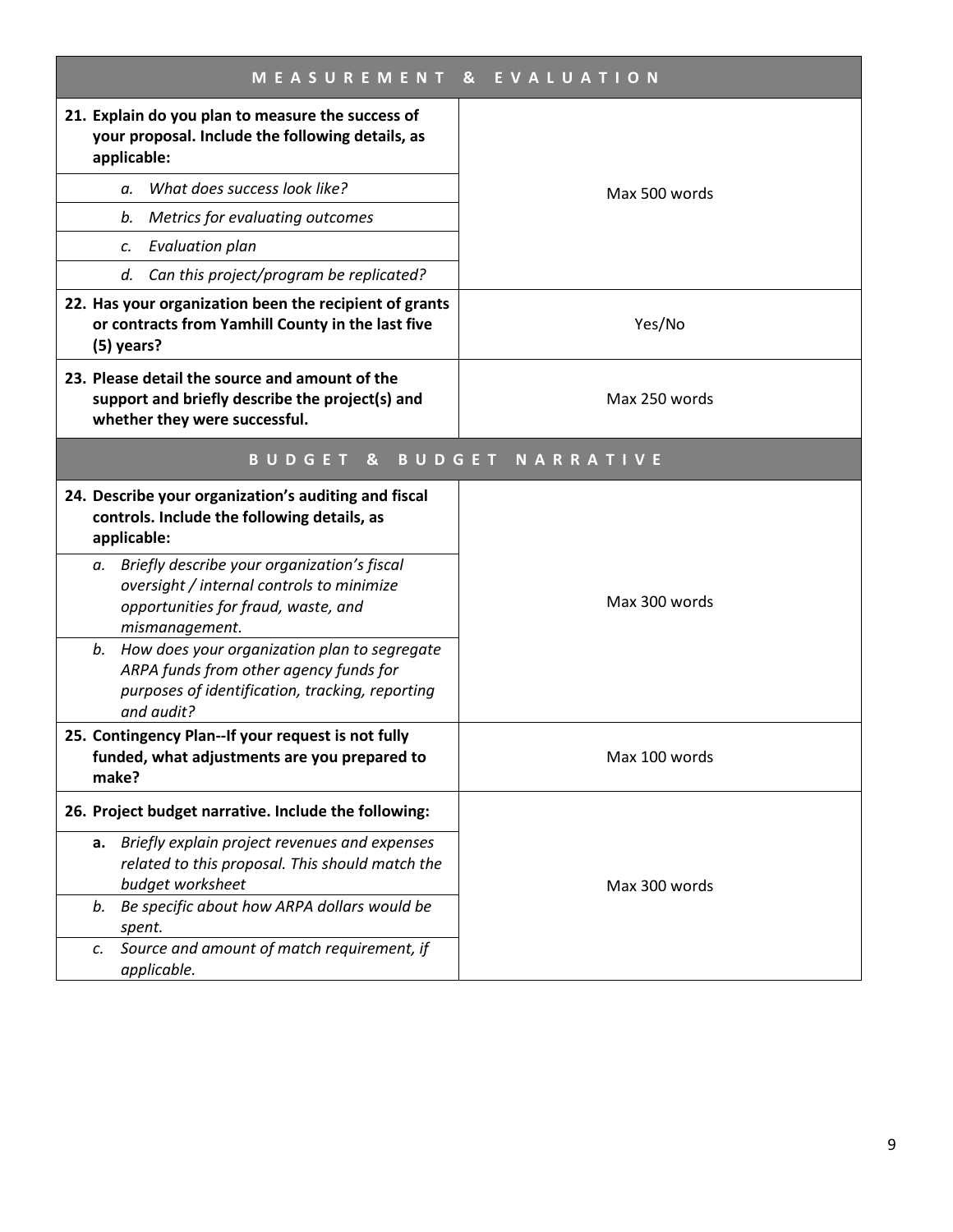| <b>MEASUREMENT</b><br>& EVALUATION                                                                                                                            |                         |  |
|---------------------------------------------------------------------------------------------------------------------------------------------------------------|-------------------------|--|
| 21. Explain do you plan to measure the success of<br>your proposal. Include the following details, as<br>applicable:                                          |                         |  |
| What does success look like?<br>a.                                                                                                                            | Max 500 words           |  |
| Metrics for evaluating outcomes<br>b.                                                                                                                         |                         |  |
| <b>Evaluation plan</b><br>c.                                                                                                                                  |                         |  |
| Can this project/program be replicated?<br>d.                                                                                                                 |                         |  |
| 22. Has your organization been the recipient of grants<br>or contracts from Yamhill County in the last five<br>(5) years?                                     | Yes/No                  |  |
| 23. Please detail the source and amount of the<br>support and briefly describe the project(s) and<br>whether they were successful.                            | Max 250 words           |  |
| &<br>BUDGET                                                                                                                                                   | <b>BUDGET NARRATIVE</b> |  |
| 24. Describe your organization's auditing and fiscal<br>controls. Include the following details, as<br>applicable:                                            |                         |  |
| a. Briefly describe your organization's fiscal<br>oversight / internal controls to minimize<br>opportunities for fraud, waste, and<br>mismanagement.          | Max 300 words           |  |
| How does your organization plan to segregate<br>b.<br>ARPA funds from other agency funds for<br>purposes of identification, tracking, reporting<br>and audit? |                         |  |
| 25. Contingency Plan--If your request is not fully<br>funded, what adjustments are you prepared to<br>make?                                                   | Max 100 words           |  |
| 26. Project budget narrative. Include the following:                                                                                                          |                         |  |
| a. Briefly explain project revenues and expenses<br>related to this proposal. This should match the<br>budget worksheet                                       | Max 300 words           |  |
| Be specific about how ARPA dollars would be<br>b.<br>spent.                                                                                                   |                         |  |
| Source and amount of match requirement, if<br>c.<br>applicable.                                                                                               |                         |  |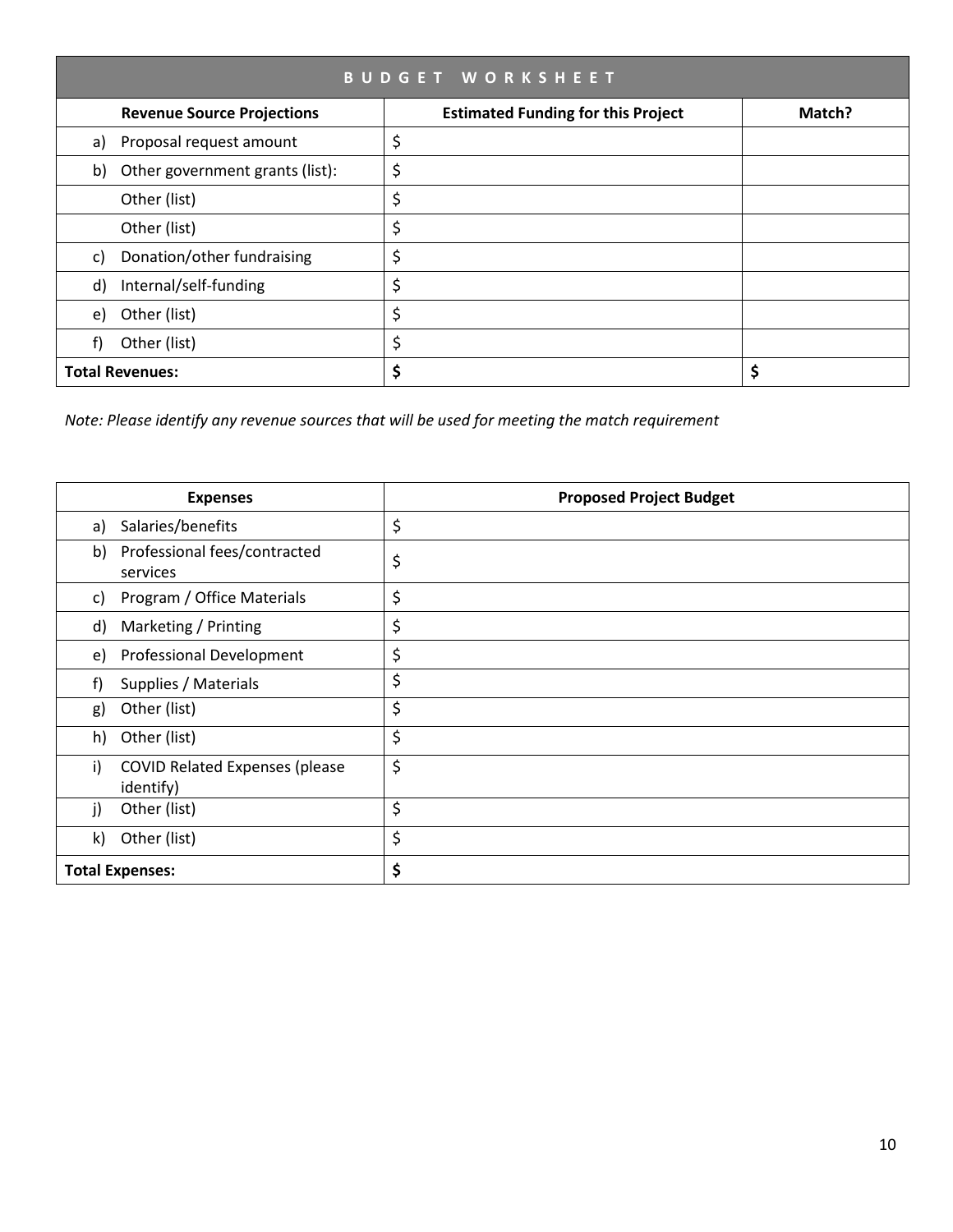| <b>BUDGET WORKSHEET</b> |                                   |                                           |        |
|-------------------------|-----------------------------------|-------------------------------------------|--------|
|                         | <b>Revenue Source Projections</b> | <b>Estimated Funding for this Project</b> | Match? |
| a)                      | Proposal request amount           | \$                                        |        |
| b)                      | Other government grants (list):   | \$                                        |        |
|                         | Other (list)                      | \$                                        |        |
|                         | Other (list)                      | \$                                        |        |
| C)                      | Donation/other fundraising        | \$                                        |        |
| d)                      | Internal/self-funding             | \$                                        |        |
| e)                      | Other (list)                      | \$                                        |        |
|                         | Other (list)                      | \$                                        |        |
|                         | <b>Total Revenues:</b>            | \$                                        |        |

*Note: Please identify any revenue sources that will be used for meeting the match requirement*

|    | <b>Expenses</b>                                    | <b>Proposed Project Budget</b> |
|----|----------------------------------------------------|--------------------------------|
| a) | Salaries/benefits                                  | \$                             |
| b) | Professional fees/contracted<br>services           | \$                             |
| C) | Program / Office Materials                         | \$                             |
| d) | Marketing / Printing                               | \$                             |
| e) | <b>Professional Development</b>                    | \$                             |
| f) | Supplies / Materials                               | \$                             |
| g) | Other (list)                                       | \$                             |
| h) | Other (list)                                       | \$                             |
| i) | <b>COVID Related Expenses (please</b><br>identify) | \$                             |
| j) | Other (list)                                       | \$                             |
| k) | Other (list)                                       | \$                             |
|    | <b>Total Expenses:</b>                             | \$                             |